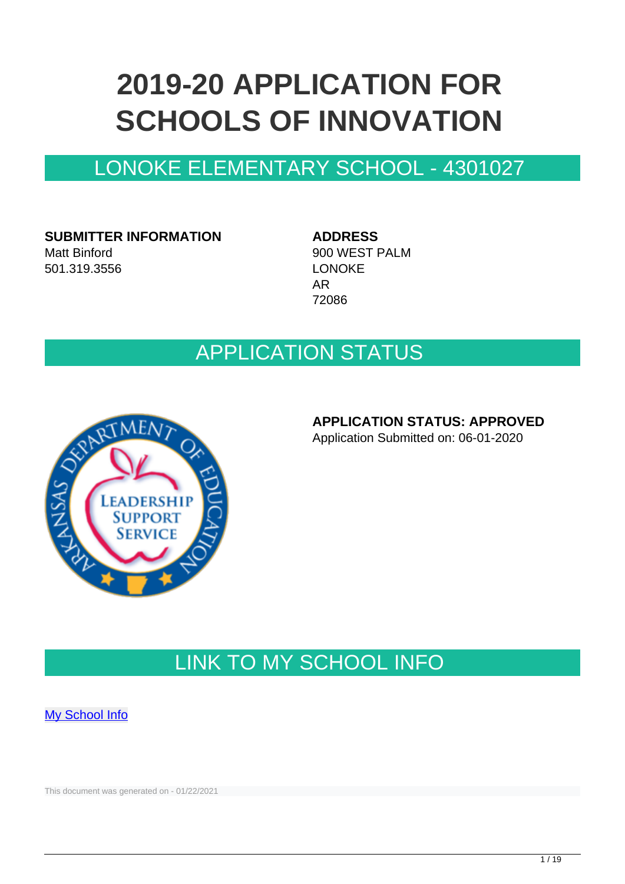# **2019-20 APPLICATION FOR SCHOOLS OF INNOVATION**

## LONOKE ELEMENTARY SCHOOL - 4301027

**SUBMITTER INFORMATION** Matt Binford 501.319.3556

**ADDRESS** 900 WEST PALM LONOKE AR 72086

## APPLICATION STATUS



### **APPLICATION STATUS: APPROVED**

Application Submitted on: 06-01-2020

## LINK TO MY SCHOOL INFO

**[My School Info](https://myschoolinfo.arkansas.gov/Schools/Search?OperationContext=None&SearchFlag=School&Query=4301027)** 

This document was generated on - 01/22/2021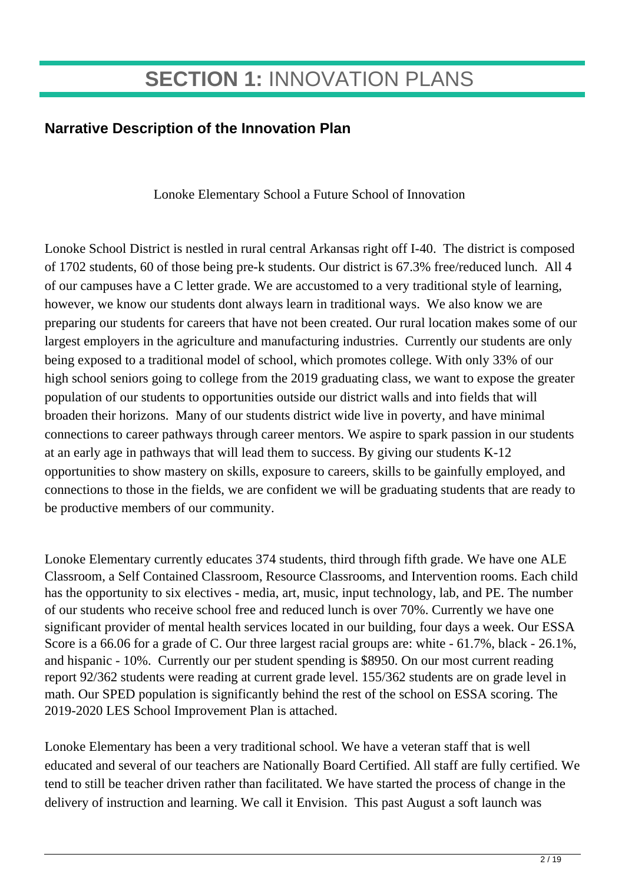## **SECTION 1:** INNOVATION PLANS

## **Narrative Description of the Innovation Plan**

Lonoke Elementary School a Future School of Innovation

Lonoke School District is nestled in rural central Arkansas right off I-40. The district is composed of 1702 students, 60 of those being pre-k students. Our district is 67.3% free/reduced lunch. All 4 of our campuses have a C letter grade. We are accustomed to a very traditional style of learning, however, we know our students dont always learn in traditional ways. We also know we are preparing our students for careers that have not been created. Our rural location makes some of our largest employers in the agriculture and manufacturing industries. Currently our students are only being exposed to a traditional model of school, which promotes college. With only 33% of our high school seniors going to college from the 2019 graduating class, we want to expose the greater population of our students to opportunities outside our district walls and into fields that will broaden their horizons. Many of our students district wide live in poverty, and have minimal connections to career pathways through career mentors. We aspire to spark passion in our students at an early age in pathways that will lead them to success. By giving our students K-12 opportunities to show mastery on skills, exposure to careers, skills to be gainfully employed, and connections to those in the fields, we are confident we will be graduating students that are ready to be productive members of our community.

Lonoke Elementary currently educates 374 students, third through fifth grade. We have one ALE Classroom, a Self Contained Classroom, Resource Classrooms, and Intervention rooms. Each child has the opportunity to six electives - media, art, music, input technology, lab, and PE. The number of our students who receive school free and reduced lunch is over 70%. Currently we have one significant provider of mental health services located in our building, four days a week. Our ESSA Score is a 66.06 for a grade of C. Our three largest racial groups are: white - 61.7%, black - 26.1%, and hispanic - 10%. Currently our per student spending is \$8950. On our most current reading report 92/362 students were reading at current grade level. 155/362 students are on grade level in math. Our SPED population is significantly behind the rest of the school on ESSA scoring. The 2019-2020 LES School Improvement Plan is attached.

Lonoke Elementary has been a very traditional school. We have a veteran staff that is well educated and several of our teachers are Nationally Board Certified. All staff are fully certified. We tend to still be teacher driven rather than facilitated. We have started the process of change in the delivery of instruction and learning. We call it Envision. This past August a soft launch was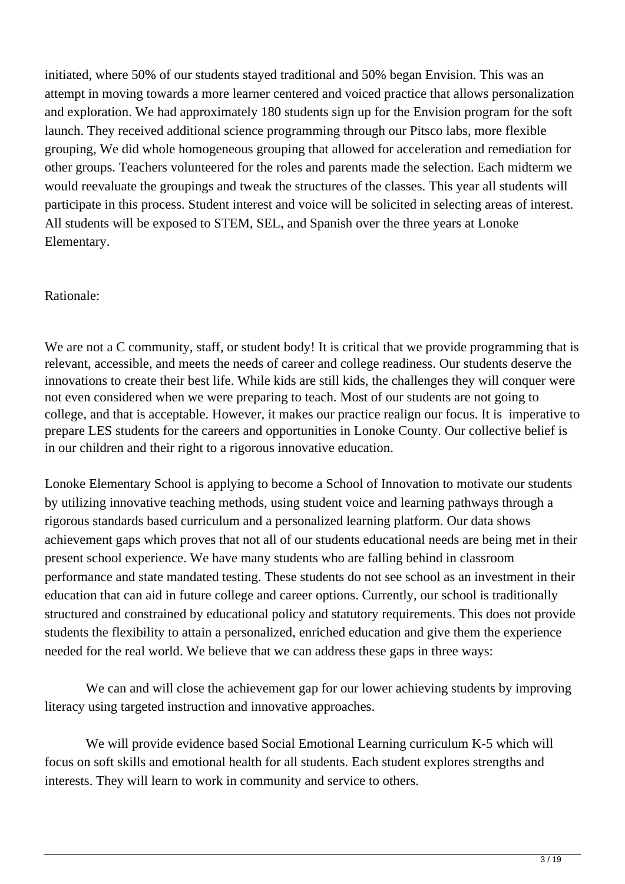initiated, where 50% of our students stayed traditional and 50% began Envision. This was an attempt in moving towards a more learner centered and voiced practice that allows personalization and exploration. We had approximately 180 students sign up for the Envision program for the soft launch. They received additional science programming through our Pitsco labs, more flexible grouping, We did whole homogeneous grouping that allowed for acceleration and remediation for other groups. Teachers volunteered for the roles and parents made the selection. Each midterm we would reevaluate the groupings and tweak the structures of the classes. This year all students will participate in this process. Student interest and voice will be solicited in selecting areas of interest. All students will be exposed to STEM, SEL, and Spanish over the three years at Lonoke Elementary.

#### Rationale:

We are not a C community, staff, or student body! It is critical that we provide programming that is relevant, accessible, and meets the needs of career and college readiness. Our students deserve the innovations to create their best life. While kids are still kids, the challenges they will conquer were not even considered when we were preparing to teach. Most of our students are not going to college, and that is acceptable. However, it makes our practice realign our focus. It is imperative to prepare LES students for the careers and opportunities in Lonoke County. Our collective belief is in our children and their right to a rigorous innovative education.

Lonoke Elementary School is applying to become a School of Innovation to motivate our students by utilizing innovative teaching methods, using student voice and learning pathways through a rigorous standards based curriculum and a personalized learning platform. Our data shows achievement gaps which proves that not all of our students educational needs are being met in their present school experience. We have many students who are falling behind in classroom performance and state mandated testing. These students do not see school as an investment in their education that can aid in future college and career options. Currently, our school is traditionally structured and constrained by educational policy and statutory requirements. This does not provide students the flexibility to attain a personalized, enriched education and give them the experience needed for the real world. We believe that we can address these gaps in three ways:

 We can and will close the achievement gap for our lower achieving students by improving literacy using targeted instruction and innovative approaches.

 We will provide evidence based Social Emotional Learning curriculum K-5 which will focus on soft skills and emotional health for all students. Each student explores strengths and interests. They will learn to work in community and service to others.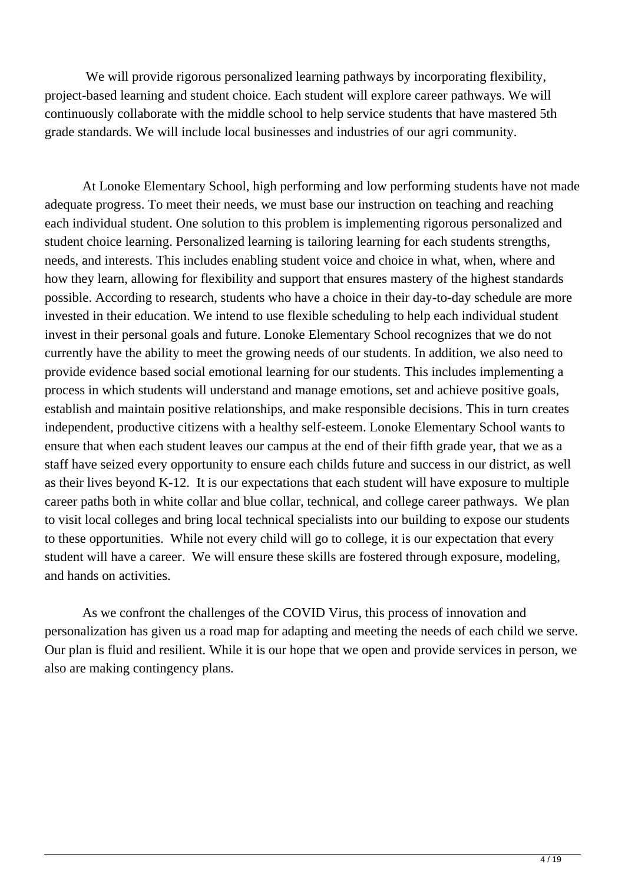We will provide rigorous personalized learning pathways by incorporating flexibility, project-based learning and student choice. Each student will explore career pathways. We will continuously collaborate with the middle school to help service students that have mastered 5th grade standards. We will include local businesses and industries of our agri community.

At Lonoke Elementary School, high performing and low performing students have not made adequate progress. To meet their needs, we must base our instruction on teaching and reaching each individual student. One solution to this problem is implementing rigorous personalized and student choice learning. Personalized learning is tailoring learning for each students strengths, needs, and interests. This includes enabling student voice and choice in what, when, where and how they learn, allowing for flexibility and support that ensures mastery of the highest standards possible. According to research, students who have a choice in their day-to-day schedule are more invested in their education. We intend to use flexible scheduling to help each individual student invest in their personal goals and future. Lonoke Elementary School recognizes that we do not currently have the ability to meet the growing needs of our students. In addition, we also need to provide evidence based social emotional learning for our students. This includes implementing a process in which students will understand and manage emotions, set and achieve positive goals, establish and maintain positive relationships, and make responsible decisions. This in turn creates independent, productive citizens with a healthy self-esteem. Lonoke Elementary School wants to ensure that when each student leaves our campus at the end of their fifth grade year, that we as a staff have seized every opportunity to ensure each childs future and success in our district, as well as their lives beyond K-12. It is our expectations that each student will have exposure to multiple career paths both in white collar and blue collar, technical, and college career pathways. We plan to visit local colleges and bring local technical specialists into our building to expose our students to these opportunities. While not every child will go to college, it is our expectation that every student will have a career. We will ensure these skills are fostered through exposure, modeling, and hands on activities.

As we confront the challenges of the COVID Virus, this process of innovation and personalization has given us a road map for adapting and meeting the needs of each child we serve. Our plan is fluid and resilient. While it is our hope that we open and provide services in person, we also are making contingency plans.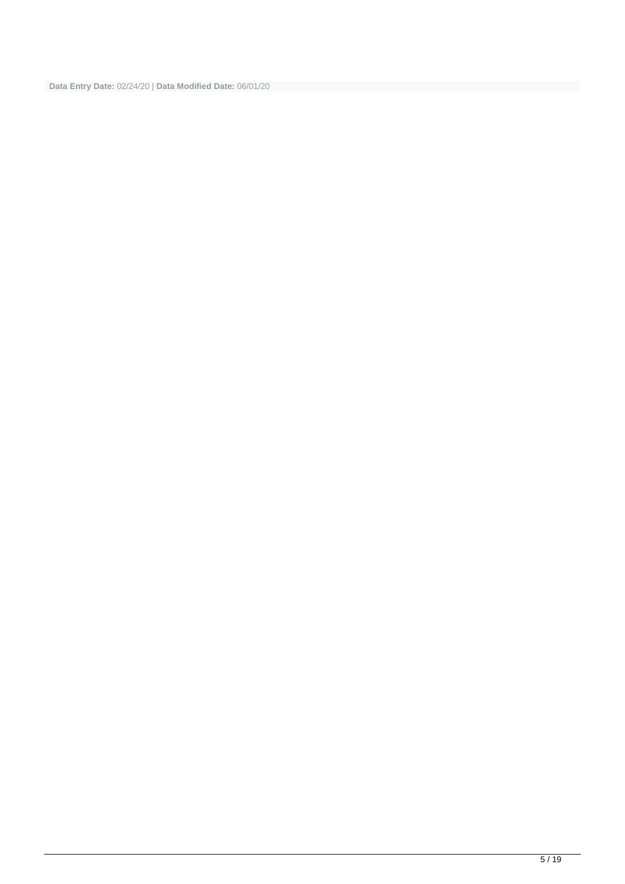**Data Entry Date:** 02/24/20 | **Data Modified Date:** 06/01/20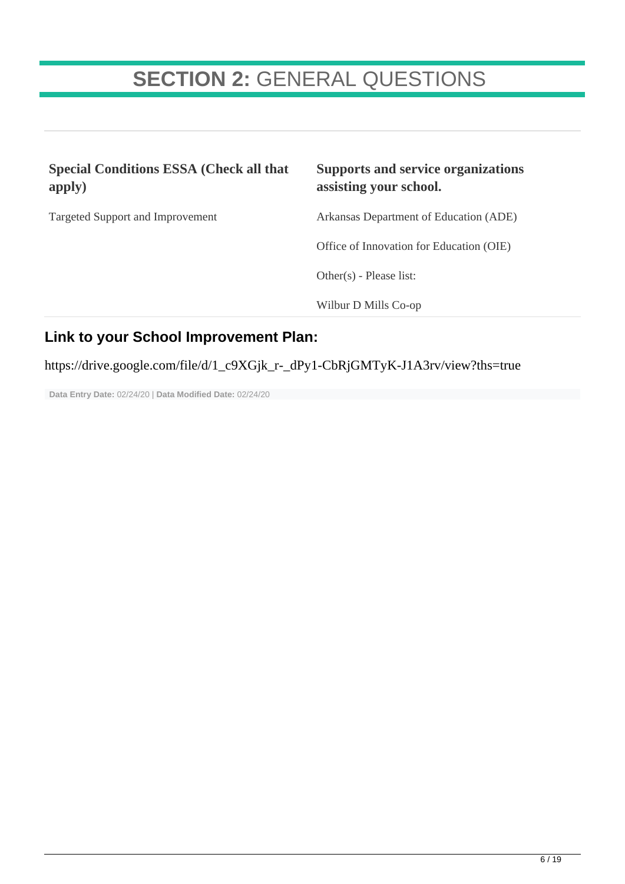## **SECTION 2:** GENERAL QUESTIONS

| <b>Special Conditions ESSA (Check all that</b><br>apply) | <b>Supports and service organizations</b><br>assisting your school. |
|----------------------------------------------------------|---------------------------------------------------------------------|
| <b>Targeted Support and Improvement</b>                  | Arkansas Department of Education (ADE)                              |
|                                                          | Office of Innovation for Education (OIE)                            |
|                                                          | Other $(s)$ - Please list:                                          |
|                                                          | Wilbur D Mills Co-op                                                |
| Link to your School Improvement Plan:                    |                                                                     |

### https://drive.google.com/file/d/1\_c9XGjk\_r-\_dPy1-CbRjGMTyK-J1A3rv/view?ths=true

**Data Entry Date:** 02/24/20 | **Data Modified Date:** 02/24/20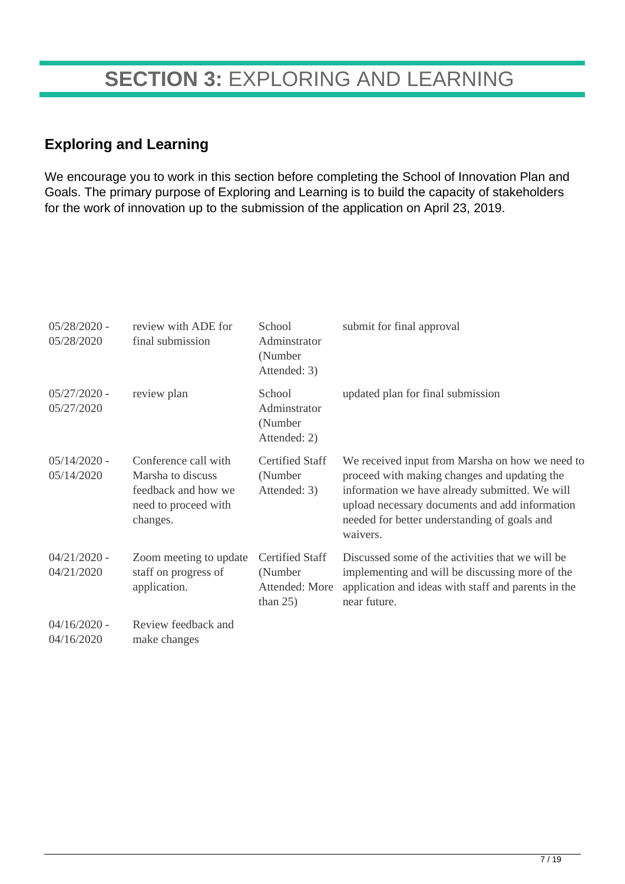## **SECTION 3:** EXPLORING AND LEARNING

### **Exploring and Learning**

We encourage you to work in this section before completing the School of Innovation Plan and Goals. The primary purpose of Exploring and Learning is to build the capacity of stakeholders for the work of innovation up to the submission of the application on April 23, 2019.

| $05/28/2020$ -<br>05/28/2020 | review with ADE for<br>final submission                                                              | School<br>Adminstrator<br>(Number<br>Attended: 3)                  | submit for final approval                                                                                                                                                                                                                                       |
|------------------------------|------------------------------------------------------------------------------------------------------|--------------------------------------------------------------------|-----------------------------------------------------------------------------------------------------------------------------------------------------------------------------------------------------------------------------------------------------------------|
| $05/27/2020$ -<br>05/27/2020 | review plan                                                                                          | School<br>Adminstrator<br>(Number<br>Attended: 2)                  | updated plan for final submission                                                                                                                                                                                                                               |
| $05/14/2020$ -<br>05/14/2020 | Conference call with<br>Marsha to discuss<br>feedback and how we<br>need to proceed with<br>changes. | <b>Certified Staff</b><br>(Number)<br>Attended: 3)                 | We received input from Marsha on how we need to<br>proceed with making changes and updating the<br>information we have already submitted. We will<br>upload necessary documents and add information<br>needed for better understanding of goals and<br>waivers. |
| $04/21/2020$ -<br>04/21/2020 | Zoom meeting to update<br>staff on progress of<br>application.                                       | <b>Certified Staff</b><br>(Number<br>Attended: More<br>than $25$ ) | Discussed some of the activities that we will be<br>implementing and will be discussing more of the<br>application and ideas with staff and parents in the<br>near future.                                                                                      |
| $04/16/2020$ -<br>04/16/2020 | Review feedback and<br>make changes                                                                  |                                                                    |                                                                                                                                                                                                                                                                 |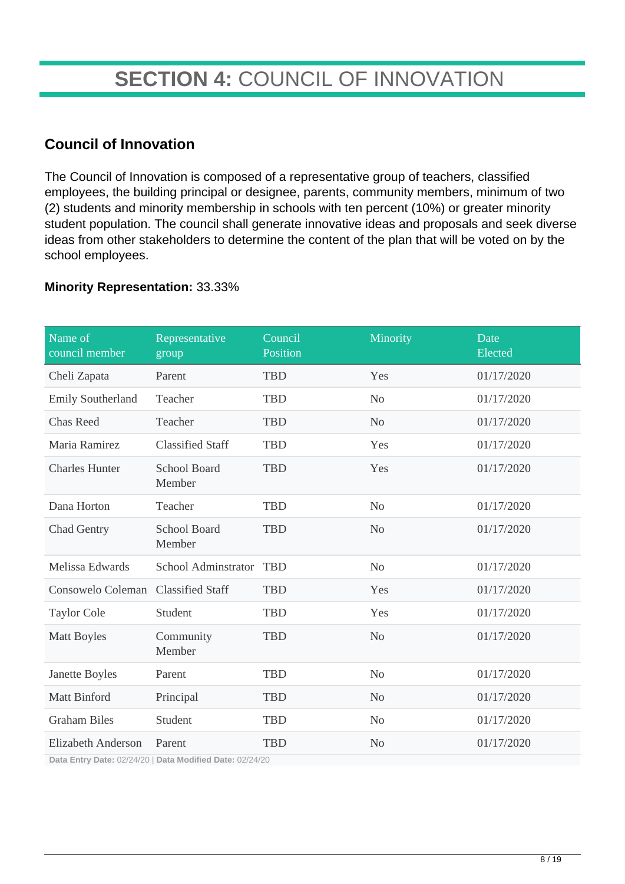## **SECTION 4:** COUNCIL OF INNOVATION

### **Council of Innovation**

The Council of Innovation is composed of a representative group of teachers, classified employees, the building principal or designee, parents, community members, minimum of two (2) students and minority membership in schools with ten percent (10%) or greater minority student population. The council shall generate innovative ideas and proposals and seek diverse ideas from other stakeholders to determine the content of the plan that will be voted on by the school employees.

#### **Minority Representation:** 33.33%

| Name of<br>council member | Representative<br>group       | Council<br>Position | Minority       | Date<br>Elected |
|---------------------------|-------------------------------|---------------------|----------------|-----------------|
| Cheli Zapata              | Parent                        | <b>TBD</b>          | Yes            | 01/17/2020      |
| <b>Emily Southerland</b>  | Teacher                       | <b>TBD</b>          | N <sub>o</sub> | 01/17/2020      |
| <b>Chas Reed</b>          | Teacher                       | <b>TBD</b>          | N <sub>o</sub> | 01/17/2020      |
| Maria Ramirez             | <b>Classified Staff</b>       | <b>TBD</b>          | Yes            | 01/17/2020      |
| <b>Charles Hunter</b>     | <b>School Board</b><br>Member | <b>TBD</b>          | Yes            | 01/17/2020      |
| Dana Horton               | Teacher                       | <b>TBD</b>          | N <sub>o</sub> | 01/17/2020      |
| <b>Chad Gentry</b>        | <b>School Board</b><br>Member | <b>TBD</b>          | N <sub>0</sub> | 01/17/2020      |
| Melissa Edwards           | School Adminstrator           | <b>TBD</b>          | N <sub>o</sub> | 01/17/2020      |
| Consowelo Coleman         | <b>Classified Staff</b>       | <b>TBD</b>          | Yes            | 01/17/2020      |
| <b>Taylor Cole</b>        | Student                       | <b>TBD</b>          | Yes            | 01/17/2020      |
| <b>Matt Boyles</b>        | Community<br>Member           | <b>TBD</b>          | N <sub>o</sub> | 01/17/2020      |
| Janette Boyles            | Parent                        | <b>TBD</b>          | N <sub>o</sub> | 01/17/2020      |
| <b>Matt Binford</b>       | Principal                     | <b>TBD</b>          | N <sub>o</sub> | 01/17/2020      |
| <b>Graham Biles</b>       | Student                       | <b>TBD</b>          | N <sub>o</sub> | 01/17/2020      |
| <b>Elizabeth Anderson</b> | Parent                        | <b>TBD</b>          | N <sub>o</sub> | 01/17/2020      |

**Data Entry Date:** 02/24/20 | **Data Modified Date:** 02/24/20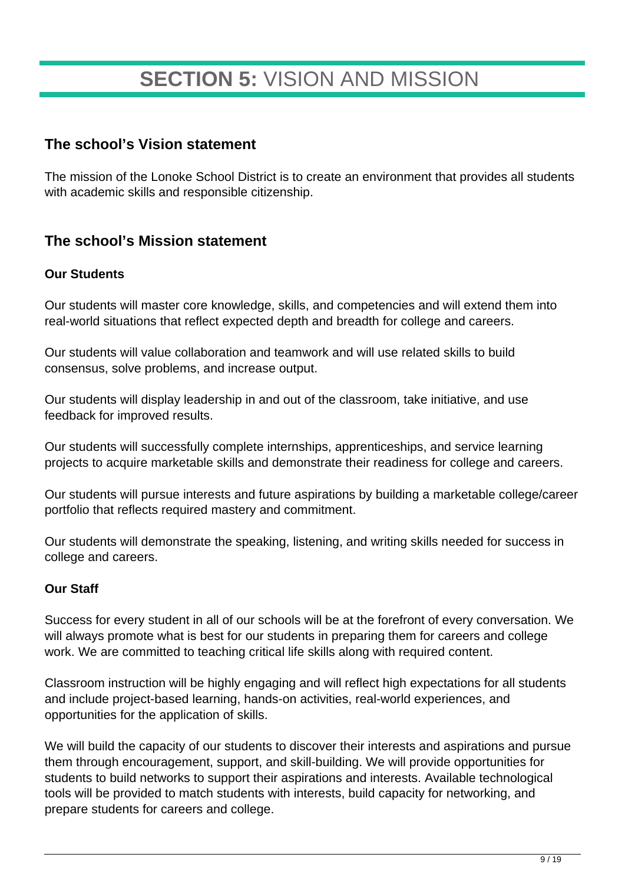## **SECTION 5:** VISION AND MISSION

### **The school's Vision statement**

The mission of the Lonoke School District is to create an environment that provides all students with academic skills and responsible citizenship.

## **The school's Mission statement**

#### **Our Students**

Our students will master core knowledge, skills, and competencies and will extend them into real-world situations that reflect expected depth and breadth for college and careers.

Our students will value collaboration and teamwork and will use related skills to build consensus, solve problems, and increase output.

Our students will display leadership in and out of the classroom, take initiative, and use feedback for improved results.

Our students will successfully complete internships, apprenticeships, and service learning projects to acquire marketable skills and demonstrate their readiness for college and careers.

Our students will pursue interests and future aspirations by building a marketable college/career portfolio that reflects required mastery and commitment.

Our students will demonstrate the speaking, listening, and writing skills needed for success in college and careers.

#### **Our Staff**

Success for every student in all of our schools will be at the forefront of every conversation. We will always promote what is best for our students in preparing them for careers and college work. We are committed to teaching critical life skills along with required content.

Classroom instruction will be highly engaging and will reflect high expectations for all students and include project-based learning, hands-on activities, real-world experiences, and opportunities for the application of skills.

We will build the capacity of our students to discover their interests and aspirations and pursue them through encouragement, support, and skill-building. We will provide opportunities for students to build networks to support their aspirations and interests. Available technological tools will be provided to match students with interests, build capacity for networking, and prepare students for careers and college.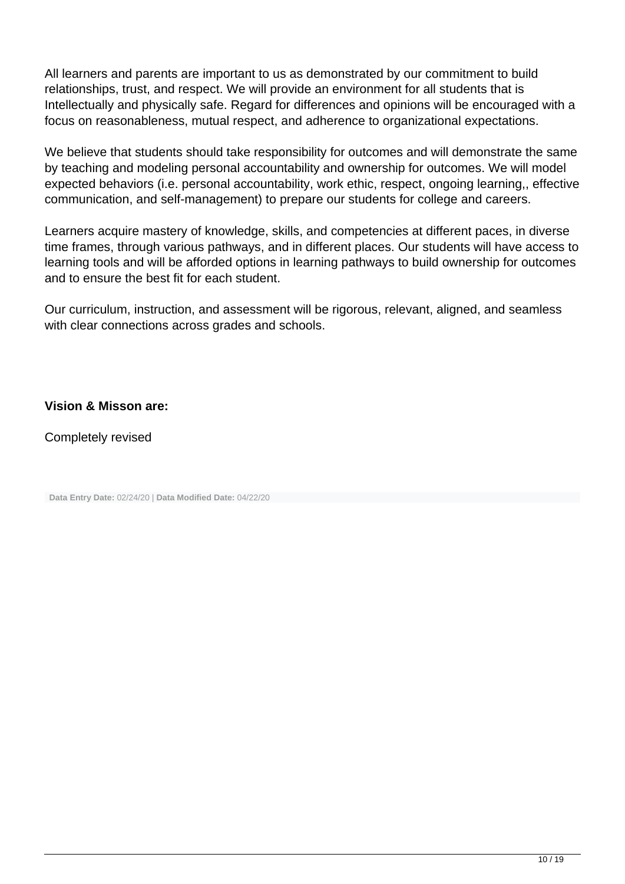All learners and parents are important to us as demonstrated by our commitment to build relationships, trust, and respect. We will provide an environment for all students that is Intellectually and physically safe. Regard for differences and opinions will be encouraged with a focus on reasonableness, mutual respect, and adherence to organizational expectations.

We believe that students should take responsibility for outcomes and will demonstrate the same by teaching and modeling personal accountability and ownership for outcomes. We will model expected behaviors (i.e. personal accountability, work ethic, respect, ongoing learning,, effective communication, and self-management) to prepare our students for college and careers.

Learners acquire mastery of knowledge, skills, and competencies at different paces, in diverse time frames, through various pathways, and in different places. Our students will have access to learning tools and will be afforded options in learning pathways to build ownership for outcomes and to ensure the best fit for each student.

Our curriculum, instruction, and assessment will be rigorous, relevant, aligned, and seamless with clear connections across grades and schools.

#### **Vision & Misson are:**

Completely revised

| Data Entry Date: 02/24/20   Data Modified Date: 04/22/20 |  |
|----------------------------------------------------------|--|
|----------------------------------------------------------|--|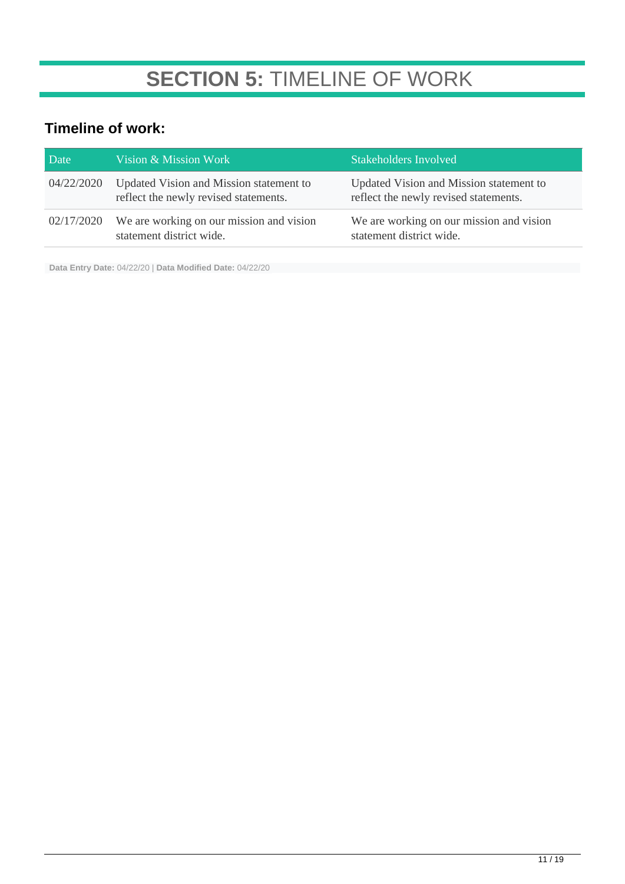## **SECTION 5:** TIMELINE OF WORK

## **Timeline of work:**

| Date       | Vision & Mission Work                                                            | Stakeholders Involved                                                            |
|------------|----------------------------------------------------------------------------------|----------------------------------------------------------------------------------|
| 04/22/2020 | Updated Vision and Mission statement to<br>reflect the newly revised statements. | Updated Vision and Mission statement to<br>reflect the newly revised statements. |
| 02/17/2020 | We are working on our mission and vision<br>statement district wide.             | We are working on our mission and vision<br>statement district wide.             |

**Data Entry Date:** 04/22/20 | **Data Modified Date:** 04/22/20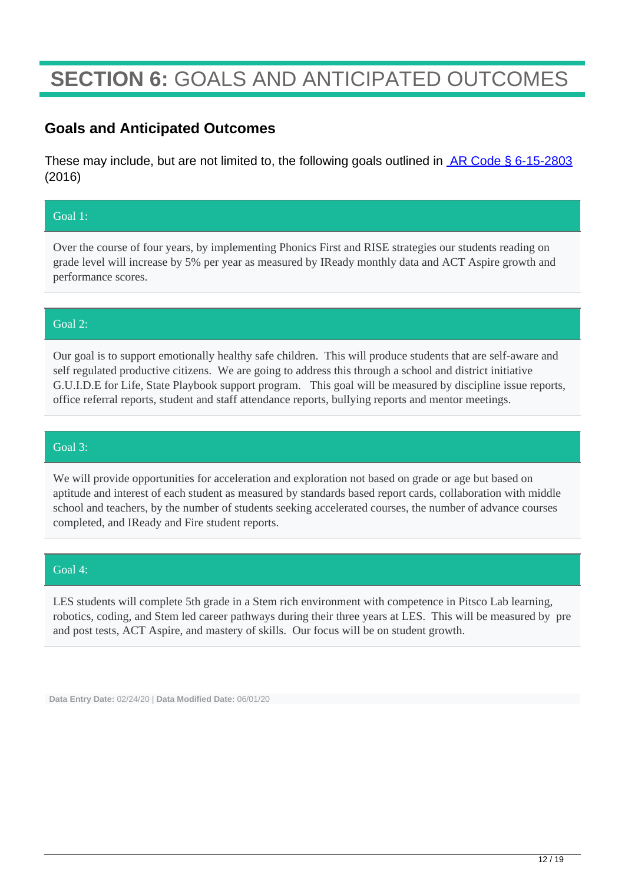## **SECTION 6:** GOALS AND ANTICIPATED OUTCOMES

### **Goals and Anticipated Outcomes**

These may include, but are not limited to, the following goals outlined in **AR Code § 6-15-2803** (2016)

#### Goal 1:

Over the course of four years, by implementing Phonics First and RISE strategies our students reading on grade level will increase by 5% per year as measured by IReady monthly data and ACT Aspire growth and performance scores.

#### Goal 2:

Our goal is to support emotionally healthy safe children. This will produce students that are self-aware and self regulated productive citizens. We are going to address this through a school and district initiative G.U.I.D.E for Life, State Playbook support program. This goal will be measured by discipline issue reports, office referral reports, student and staff attendance reports, bullying reports and mentor meetings.

#### Goal 3:

We will provide opportunities for acceleration and exploration not based on grade or age but based on aptitude and interest of each student as measured by standards based report cards, collaboration with middle school and teachers, by the number of students seeking accelerated courses, the number of advance courses completed, and IReady and Fire student reports.

#### Goal 4:

LES students will complete 5th grade in a Stem rich environment with competence in Pitsco Lab learning, robotics, coding, and Stem led career pathways during their three years at LES. This will be measured by pre and post tests, ACT Aspire, and mastery of skills. Our focus will be on student growth.

**Data Entry Date:** 02/24/20 | **Data Modified Date:** 06/01/20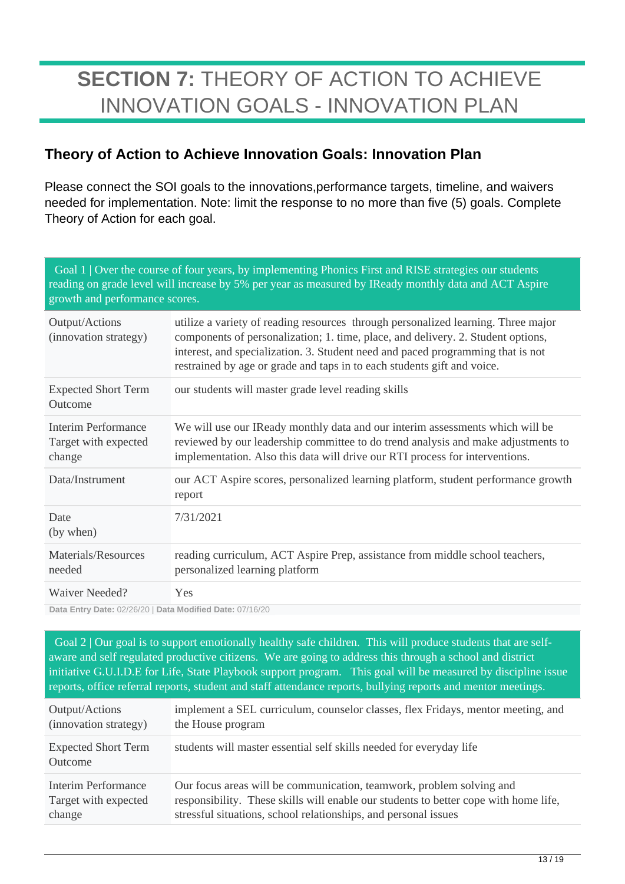## **SECTION 7:** THEORY OF ACTION TO ACHIEVE INNOVATION GOALS - INNOVATION PLAN

## **Theory of Action to Achieve Innovation Goals: Innovation Plan**

Please connect the SOI goals to the innovations,performance targets, timeline, and waivers needed for implementation. Note: limit the response to no more than five (5) goals. Complete Theory of Action for each goal.

| growth and performance scores.                                                                                                                                                                                                                                                                                                                                                                                                                                                                               | Goal 1   Over the course of four years, by implementing Phonics First and RISE strategies our students<br>reading on grade level will increase by 5% per year as measured by IReady monthly data and ACT Aspire                                                                                                                     |
|--------------------------------------------------------------------------------------------------------------------------------------------------------------------------------------------------------------------------------------------------------------------------------------------------------------------------------------------------------------------------------------------------------------------------------------------------------------------------------------------------------------|-------------------------------------------------------------------------------------------------------------------------------------------------------------------------------------------------------------------------------------------------------------------------------------------------------------------------------------|
| Output/Actions<br>(innovation strategy)                                                                                                                                                                                                                                                                                                                                                                                                                                                                      | utilize a variety of reading resources through personalized learning. Three major<br>components of personalization; 1. time, place, and delivery. 2. Student options,<br>interest, and specialization. 3. Student need and paced programming that is not<br>restrained by age or grade and taps in to each students gift and voice. |
| <b>Expected Short Term</b><br>Outcome                                                                                                                                                                                                                                                                                                                                                                                                                                                                        | our students will master grade level reading skills                                                                                                                                                                                                                                                                                 |
| Interim Performance<br>Target with expected<br>change                                                                                                                                                                                                                                                                                                                                                                                                                                                        | We will use our IReady monthly data and our interim assessments which will be<br>reviewed by our leadership committee to do trend analysis and make adjustments to<br>implementation. Also this data will drive our RTI process for interventions.                                                                                  |
| Data/Instrument                                                                                                                                                                                                                                                                                                                                                                                                                                                                                              | our ACT Aspire scores, personalized learning platform, student performance growth<br>report                                                                                                                                                                                                                                         |
| Date<br>(by when)                                                                                                                                                                                                                                                                                                                                                                                                                                                                                            | 7/31/2021                                                                                                                                                                                                                                                                                                                           |
| Materials/Resources<br>needed                                                                                                                                                                                                                                                                                                                                                                                                                                                                                | reading curriculum, ACT Aspire Prep, assistance from middle school teachers,<br>personalized learning platform                                                                                                                                                                                                                      |
| Waiver Needed?<br>$\blacksquare$ $\blacksquare$ $\blacksquare$ $\blacksquare$ $\blacksquare$ $\blacksquare$ $\blacksquare$ $\blacksquare$ $\blacksquare$ $\blacksquare$ $\blacksquare$ $\blacksquare$ $\blacksquare$ $\blacksquare$ $\blacksquare$ $\blacksquare$ $\blacksquare$ $\blacksquare$ $\blacksquare$ $\blacksquare$ $\blacksquare$ $\blacksquare$ $\blacksquare$ $\blacksquare$ $\blacksquare$ $\blacksquare$ $\blacksquare$ $\blacksquare$ $\blacksquare$ $\blacksquare$ $\blacksquare$ $\blacks$ | Yes                                                                                                                                                                                                                                                                                                                                 |

**Data Entry Date: 02/26/20 | Data Modified Date: 07/16/20** 

Goal 2 | Our goal is to support emotionally healthy safe children. This will produce students that are selfaware and self regulated productive citizens. We are going to address this through a school and district initiative G.U.I.D.E for Life, State Playbook support program. This goal will be measured by discipline issue reports, office referral reports, student and staff attendance reports, bullying reports and mentor meetings.

| Output/Actions                        | implement a SEL curriculum, counselor classes, flex Fridays, mentor meeting, and     |
|---------------------------------------|--------------------------------------------------------------------------------------|
| (innovation strategy)                 | the House program                                                                    |
| <b>Expected Short Term</b><br>Outcome | students will master essential self skills needed for everyday life                  |
| Interim Performance                   | Our focus areas will be communication, teamwork, problem solving and                 |
| Target with expected                  | responsibility. These skills will enable our students to better cope with home life, |
| change                                | stressful situations, school relationships, and personal issues                      |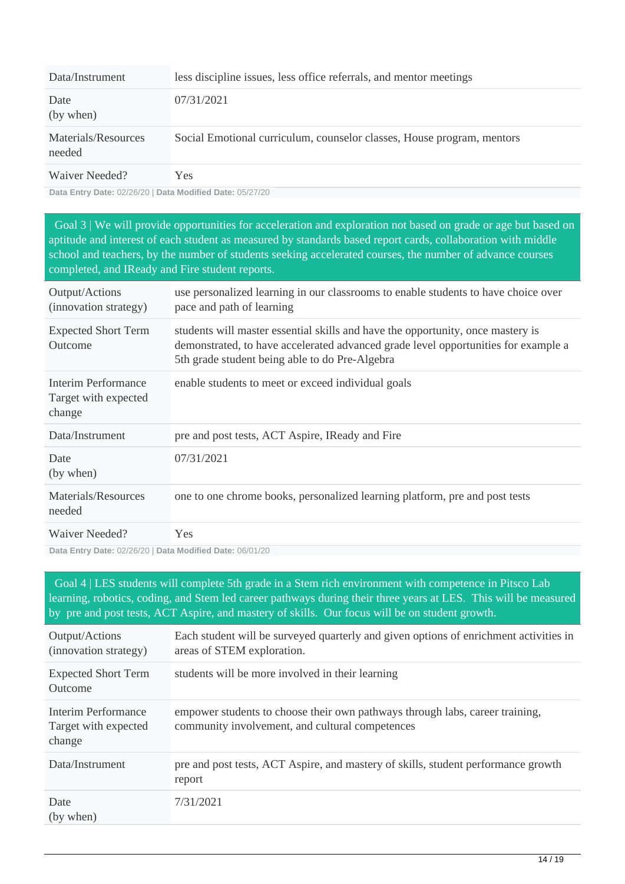| Data/Instrument               | less discipline issues, less office referrals, and mentor meetings     |
|-------------------------------|------------------------------------------------------------------------|
| Date<br>(by when)             | 07/31/2021                                                             |
| Materials/Resources<br>needed | Social Emotional curriculum, counselor classes, House program, mentors |
| Waiver Needed?                | Yes                                                                    |

**Data Entry Date:** 02/26/20 | **Data Modified Date:** 05/27/20

 Goal 3 | We will provide opportunities for acceleration and exploration not based on grade or age but based on aptitude and interest of each student as measured by standards based report cards, collaboration with middle school and teachers, by the number of students seeking accelerated courses, the number of advance courses completed, and IReady and Fire student reports.

| Output/Actions<br>(innovation strategy)               | use personalized learning in our classrooms to enable students to have choice over<br>pace and path of learning                                                                                                         |
|-------------------------------------------------------|-------------------------------------------------------------------------------------------------------------------------------------------------------------------------------------------------------------------------|
| <b>Expected Short Term</b><br>Outcome                 | students will master essential skills and have the opportunity, once mastery is<br>demonstrated, to have accelerated advanced grade level opportunities for example a<br>5th grade student being able to do Pre-Algebra |
| Interim Performance<br>Target with expected<br>change | enable students to meet or exceed individual goals                                                                                                                                                                      |
| Data/Instrument                                       | pre and post tests, ACT Aspire, IReady and Fire                                                                                                                                                                         |
| Date<br>(by when)                                     | 07/31/2021                                                                                                                                                                                                              |
| Materials/Resources<br>needed                         | one to one chrome books, personalized learning platform, pre and post tests                                                                                                                                             |
| Waiver Needed?                                        | <b>Yes</b>                                                                                                                                                                                                              |

**Data Entry Date:** 02/26/20 | **Data Modified Date:** 06/01/20

 Goal 4 | LES students will complete 5th grade in a Stem rich environment with competence in Pitsco Lab learning, robotics, coding, and Stem led career pathways during their three years at LES. This will be measured by pre and post tests, ACT Aspire, and mastery of skills. Our focus will be on student growth. Output/Actions (innovation strategy) Each student will be surveyed quarterly and given options of enrichment activities in areas of STEM exploration. Expected Short Term Outcome students will be more involved in their learning Interim Performance Target with expected change empower students to choose their own pathways through labs, career training, community involvement, and cultural competences Data/Instrument pre and post tests, ACT Aspire, and mastery of skills, student performance growth report Date (by when) 7/31/2021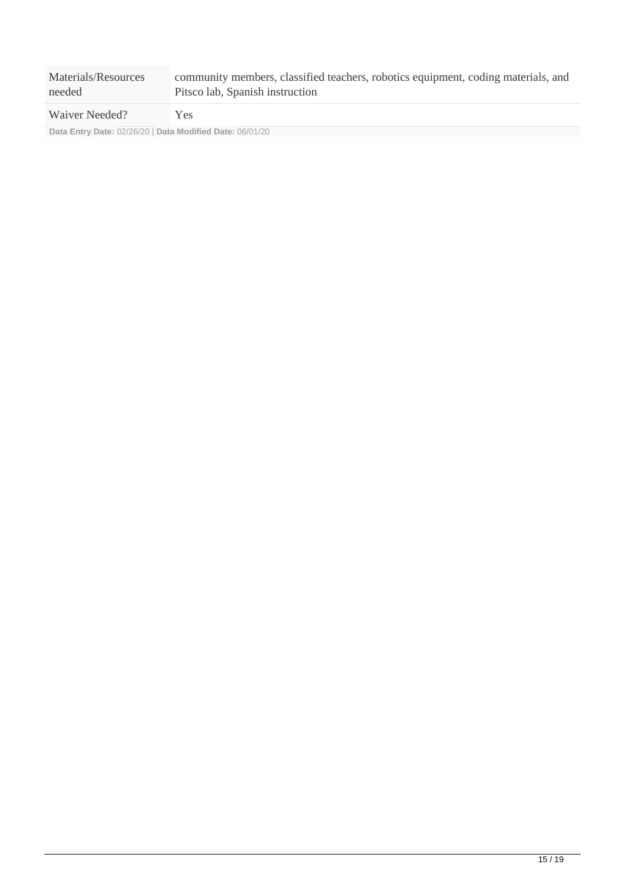| Materials/Resources | community members, classified teachers, robotics equipment, coding materials, and |
|---------------------|-----------------------------------------------------------------------------------|
| needed              | Pitsco lab, Spanish instruction                                                   |
| Waiver Needed?      | Y es                                                                              |

**Data Entry Date:** 02/26/20 | **Data Modified Date:** 06/01/20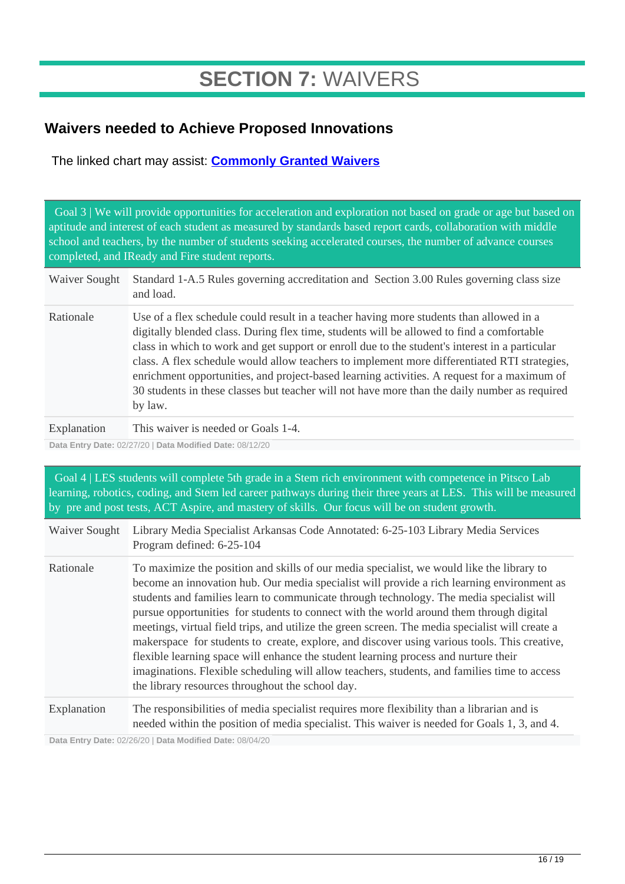## **SECTION 7:** WAIVERS

## **Waivers needed to Achieve Proposed Innovations**

The linked chart may assist: **[Commonly Granted Waivers](http://www.arkansased.gov/public/userfiles/Learning_Services/Charter%20and%20Home%20School/Charter%20School-Division%20of%20Learning%20Services/Applications/Waiver_Document.pdf)**

 Goal 3 | We will provide opportunities for acceleration and exploration not based on grade or age but based on aptitude and interest of each student as measured by standards based report cards, collaboration with middle school and teachers, by the number of students seeking accelerated courses, the number of advance courses completed, and IReady and Fire student reports.

- Waiver Sought Standard 1-A.5 Rules governing accreditation and Section 3.00 Rules governing class size and load.
- Rationale Use of a flex schedule could result in a teacher having more students than allowed in a digitally blended class. During flex time, students will be allowed to find a comfortable class in which to work and get support or enroll due to the student's interest in a particular class. A flex schedule would allow teachers to implement more differentiated RTI strategies, enrichment opportunities, and project-based learning activities. A request for a maximum of 30 students in these classes but teacher will not have more than the daily number as required by law.
- Explanation This waiver is needed or Goals 1-4.

**Data Entry Date:** 02/27/20 | **Data Modified Date:** 08/12/20

| Goal 4   LES students will complete 5th grade in a Stem rich environment with competence in Pitsco Lab<br>learning, robotics, coding, and Stem led career pathways during their three years at LES. This will be measured<br>by pre and post tests, ACT Aspire, and mastery of skills. Our focus will be on student growth. |                                                                                                                                                                                                                                                                                                                                                                                                                                                                                                                                                                                                                                                                                                                                                                                                                              |  |
|-----------------------------------------------------------------------------------------------------------------------------------------------------------------------------------------------------------------------------------------------------------------------------------------------------------------------------|------------------------------------------------------------------------------------------------------------------------------------------------------------------------------------------------------------------------------------------------------------------------------------------------------------------------------------------------------------------------------------------------------------------------------------------------------------------------------------------------------------------------------------------------------------------------------------------------------------------------------------------------------------------------------------------------------------------------------------------------------------------------------------------------------------------------------|--|
| Waiver Sought                                                                                                                                                                                                                                                                                                               | Library Media Specialist Arkansas Code Annotated: 6-25-103 Library Media Services<br>Program defined: 6-25-104                                                                                                                                                                                                                                                                                                                                                                                                                                                                                                                                                                                                                                                                                                               |  |
| Rationale                                                                                                                                                                                                                                                                                                                   | To maximize the position and skills of our media specialist, we would like the library to<br>become an innovation hub. Our media specialist will provide a rich learning environment as<br>students and families learn to communicate through technology. The media specialist will<br>pursue opportunities for students to connect with the world around them through digital<br>meetings, virtual field trips, and utilize the green screen. The media specialist will create a<br>makerspace for students to create, explore, and discover using various tools. This creative,<br>flexible learning space will enhance the student learning process and nurture their<br>imaginations. Flexible scheduling will allow teachers, students, and families time to access<br>the library resources throughout the school day. |  |
| Explanation                                                                                                                                                                                                                                                                                                                 | The responsibilities of media specialist requires more flexibility than a librarian and is<br>needed within the position of media specialist. This waiver is needed for Goals 1, 3, and 4.                                                                                                                                                                                                                                                                                                                                                                                                                                                                                                                                                                                                                                   |  |

**Data Entry Date:** 02/26/20 | **Data Modified Date:** 08/04/20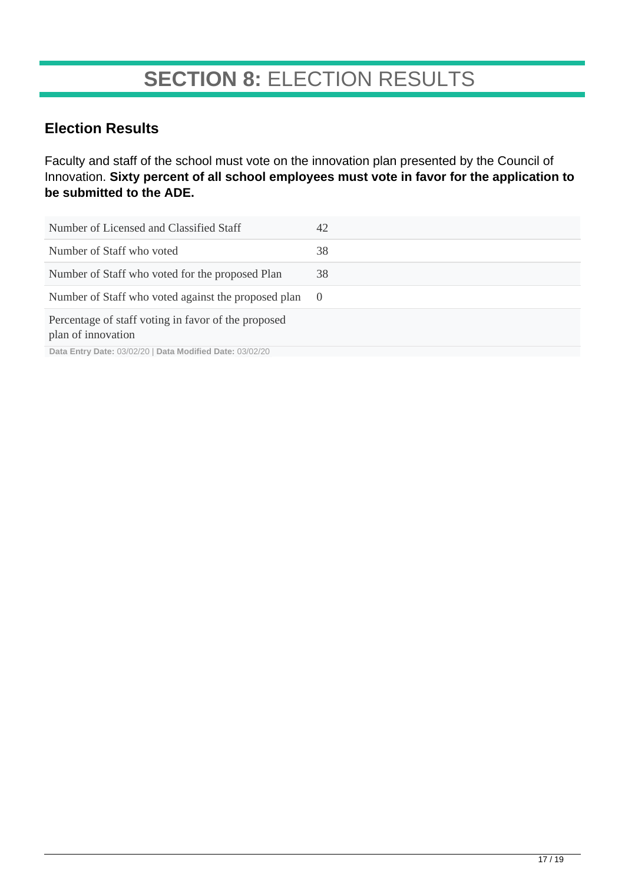## **SECTION 8:** ELECTION RESULTS

## **Election Results**

Faculty and staff of the school must vote on the innovation plan presented by the Council of Innovation. **Sixty percent of all school employees must vote in favor for the application to be submitted to the ADE.**

| Number of Licensed and Classified Staff                                   | 42     |
|---------------------------------------------------------------------------|--------|
| Number of Staff who voted                                                 | 38     |
| Number of Staff who voted for the proposed Plan                           | 38     |
| Number of Staff who voted against the proposed plan                       | $\cup$ |
| Percentage of staff voting in favor of the proposed<br>plan of innovation |        |

**Data Entry Date:** 03/02/20 | **Data Modified Date:** 03/02/20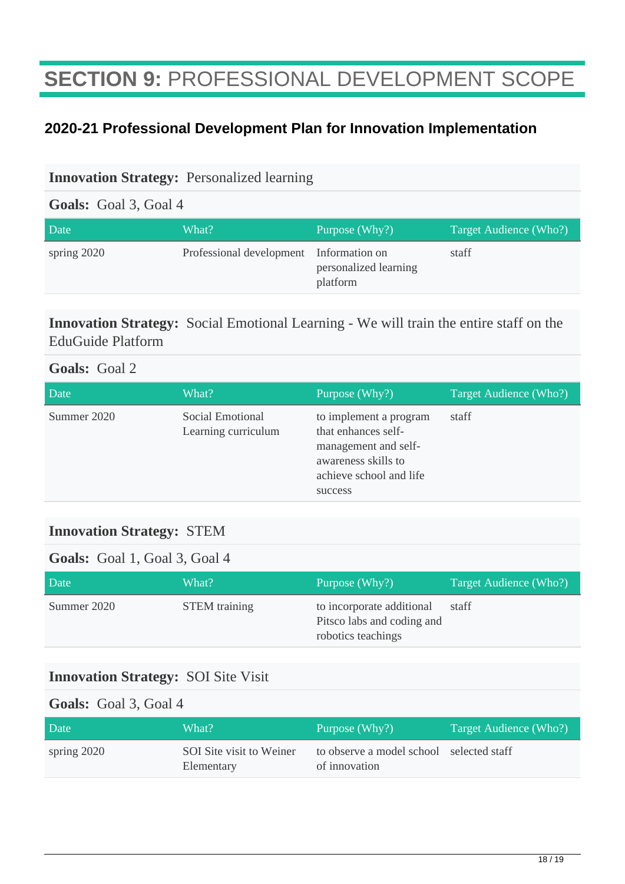## **SECTION 9:** PROFESSIONAL DEVELOPMENT SCOPE

## **2020-21 Professional Development Plan for Innovation Implementation**

#### **Innovation Strategy:** Personalized learning

#### **Goals:** Goal 3, Goal 4

| Date        | What?                                   | Purpose (Why?)                    | Target Audience (Who?) |
|-------------|-----------------------------------------|-----------------------------------|------------------------|
| spring 2020 | Professional development Information on | personalized learning<br>platform | staff                  |

### **Innovation Strategy:** Social Emotional Learning - We will train the entire staff on the EduGuide Platform

### **Goals:** Goal 2

| Date        | What?                                   | Purpose (Why?)                                                                                                                     | Target Audience (Who?) |
|-------------|-----------------------------------------|------------------------------------------------------------------------------------------------------------------------------------|------------------------|
| Summer 2020 | Social Emotional<br>Learning curriculum | to implement a program<br>that enhances self-<br>management and self-<br>awareness skills to<br>achieve school and life<br>success | staff                  |

### **Innovation Strategy:** STEM

#### **Goals:** Goal 1, Goal 3, Goal 4

| Date        | What?                | Purpose $(Why?)$                                                              | Target Audience (Who?) |
|-------------|----------------------|-------------------------------------------------------------------------------|------------------------|
| Summer 2020 | <b>STEM</b> training | to incorporate additional<br>Pitsco labs and coding and<br>robotics teachings | staff                  |

### **Innovation Strategy:** SOI Site Visit

#### **Goals:** Goal 3, Goal 4

| Date        | What?                                  | Purpose (Why?)                                            | Target Audience (Who?) |
|-------------|----------------------------------------|-----------------------------------------------------------|------------------------|
| spring 2020 | SOI Site visit to Weiner<br>Elementary | to observe a model school selected staff<br>of innovation |                        |